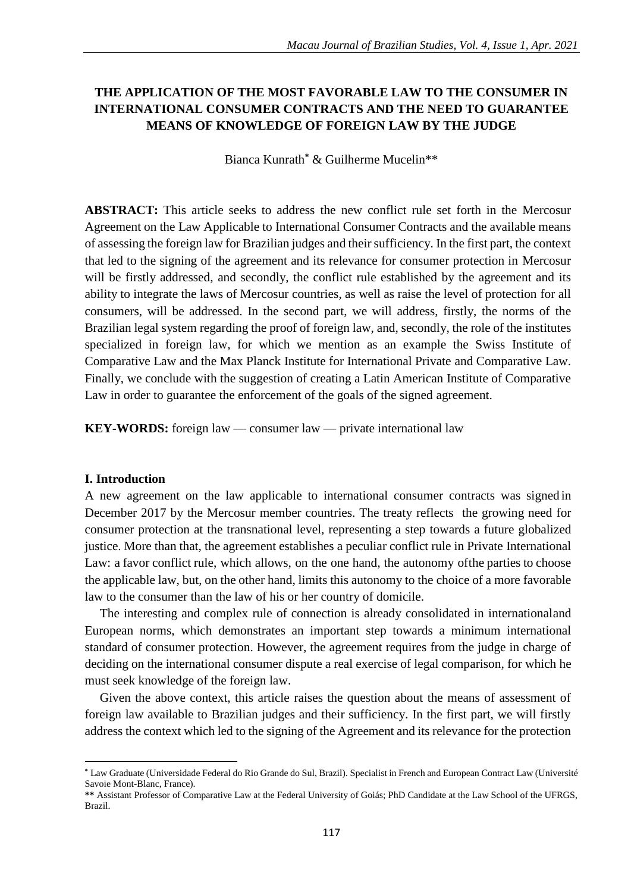# **THE APPLICATION OF THE MOST FAVORABLE LAW TO THE CONSUMER IN INTERNATIONAL CONSUMER CONTRACTS AND THE NEED TO GUARANTEE MEANS OF KNOWLEDGE OF FOREIGN LAW BY THE JUDGE**

Bianca Kunrath**\*** & Guilherme Mucelin\*\*

**ABSTRACT:** This article seeks to address the new conflict rule set forth in the Mercosur Agreement on the Law Applicable to International Consumer Contracts and the available means of assessing the foreign law for Brazilian judges and their sufficiency. In the first part, the context that led to the signing of the agreement and its relevance for consumer protection in Mercosur will be firstly addressed, and secondly, the conflict rule established by the agreement and its ability to integrate the laws of Mercosur countries, as well as raise the level of protection for all consumers, will be addressed. In the second part, we will address, firstly, the norms of the Brazilian legal system regarding the proof of foreign law, and, secondly, the role of the institutes specialized in foreign law, for which we mention as an example the Swiss Institute of Comparative Law and the Max Planck Institute for International Private and Comparative Law. Finally, we conclude with the suggestion of creating a Latin American Institute of Comparative Law in order to guarantee the enforcement of the goals of the signed agreement.

**KEY-WORDS:** foreign law — consumer law — private international law

## **I. Introduction**

 $\overline{a}$ 

A new agreement on the law applicable to international consumer contracts was signed in December 2017 by the Mercosur member countries. The treaty reflects the growing need for consumer protection at the transnational level, representing a step towards a future globalized justice. More than that, the agreement establishes a peculiar conflict rule in Private International Law: a favor conflict rule, which allows, on the one hand, the autonomy of the parties to choose the applicable law, but, on the other hand, limits this autonomy to the choice of a more favorable law to the consumer than the law of his or her country of domicile.

The interesting and complex rule of connection is already consolidated in internationaland European norms, which demonstrates an important step towards a minimum international standard of consumer protection. However, the agreement requires from the judge in charge of deciding on the international consumer dispute a real exercise of legal comparison, for which he must seek knowledge of the foreign law.

Given the above context, this article raises the question about the means of assessment of foreign law available to Brazilian judges and their sufficiency. In the first part, we will firstly address the context which led to the signing of the Agreement and its relevance for the protection

**<sup>\*</sup>** Law Graduate (Universidade Federal do Rio Grande do Sul, Brazil). Specialist in French and European Contract Law (Université Savoie Mont-Blanc, France).

**<sup>\*\*</sup>** Assistant Professor of Comparative Law at the Federal University of Goiás; PhD Candidate at the Law School of the UFRGS, Brazil.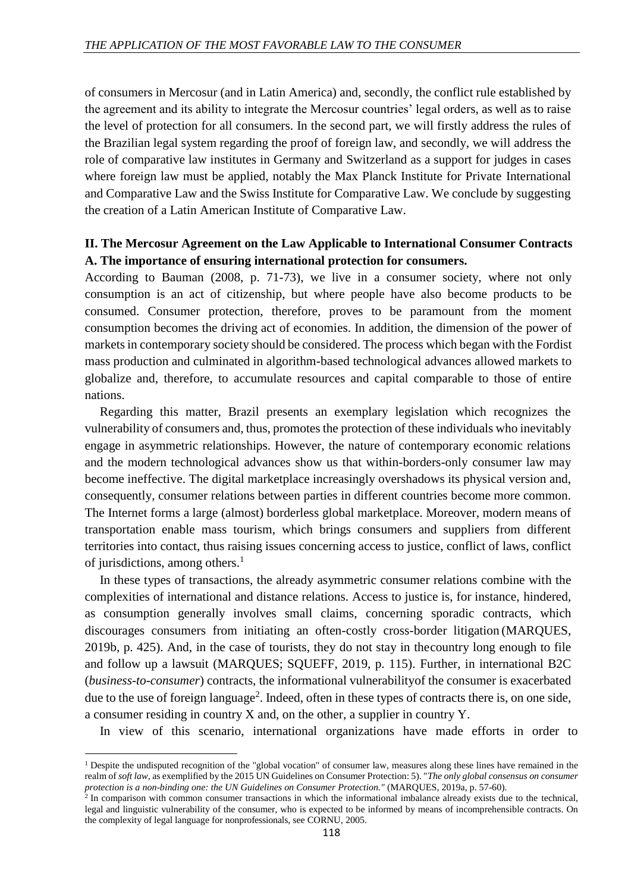of consumers in Mercosur (and in Latin America) and, secondly, the conflict rule established by the agreement and its ability to integrate the Mercosur countries' legal orders, as well as to raise the level of protection for all consumers. In the second part, we will firstly address the rules of the Brazilian legal system regarding the proof of foreign law, and secondly, we will address the role of comparative law institutes in Germany and Switzerland as a support for judges in cases where foreign law must be applied, notably the Max Planck Institute for Private International and Comparative Law and the Swiss Institute for Comparative Law. We conclude by suggesting the creation of a Latin American Institute of Comparative Law.

## **II. The Mercosur Agreement on the Law Applicable to International Consumer Contracts A. The importance of ensuring international protection for consumers.**

According to Bauman (2008, p. 71-73), we live in a consumer society, where not only consumption is an act of citizenship, but where people have also become products to be consumed. Consumer protection, therefore, proves to be paramount from the moment consumption becomes the driving act of economies. In addition, the dimension of the power of marketsin contemporary society should be considered. The process which began with the Fordist mass production and culminated in algorithm-based technological advances allowed markets to globalize and, therefore, to accumulate resources and capital comparable to those of entire nations.

Regarding this matter, Brazil presents an exemplary legislation which recognizes the vulnerability of consumers and, thus, promotes the protection of these individuals who inevitably engage in asymmetric relationships. However, the nature of contemporary economic relations and the modern technological advances show us that within-borders-only consumer law may become ineffective. The digital marketplace increasingly overshadows its physical version and, consequently, consumer relations between parties in different countries become more common. The Internet forms a large (almost) borderless global marketplace. Moreover, modern means of transportation enable mass tourism, which brings consumers and suppliers from different territories into contact, thus raising issues concerning access to justice, conflict of laws, conflict of jurisdictions, among others.<sup>1</sup>

In these types of transactions, the already asymmetric consumer relations combine with the complexities of international and distance relations. Access to justice is, for instance, hindered, as consumption generally involves small claims, concerning sporadic contracts, which discourages consumers from initiating an often-costly cross-border litigation (MARQUES, 2019b, p. 425). And, in the case of tourists, they do not stay in thecountry long enough to file and follow up a lawsuit (MARQUES; SQUEFF, 2019, p. 115). Further, in international B2C (*business-to-consumer*) contracts, the informational vulnerabilityof the consumer is exacerbated due to the use of foreign language<sup>2</sup>. Indeed, often in these types of contracts there is, on one side, a consumer residing in country X and, on the other, a supplier in country Y.

In view of this scenario, international organizations have made efforts in order to

1

<sup>1</sup> Despite the undisputed recognition of the "global vocation" of consumer law, measures along these lines have remained in the realm of *soft law*, as exemplified by the 2015 UN Guidelines on Consumer Protection: 5). "*The only global consensus on consumer protection is a non-binding one: the UN Guidelines on Consumer Protection."* (MARQUES, 2019a, p. 57-60).

<sup>&</sup>lt;sup>2</sup> In comparison with common consumer transactions in which the informational imbalance already exists due to the technical, legal and linguistic vulnerability of the consumer, who is expected to be informed by means of incomprehensible contracts. On the complexity of legal language for nonprofessionals, see CORNU, 2005.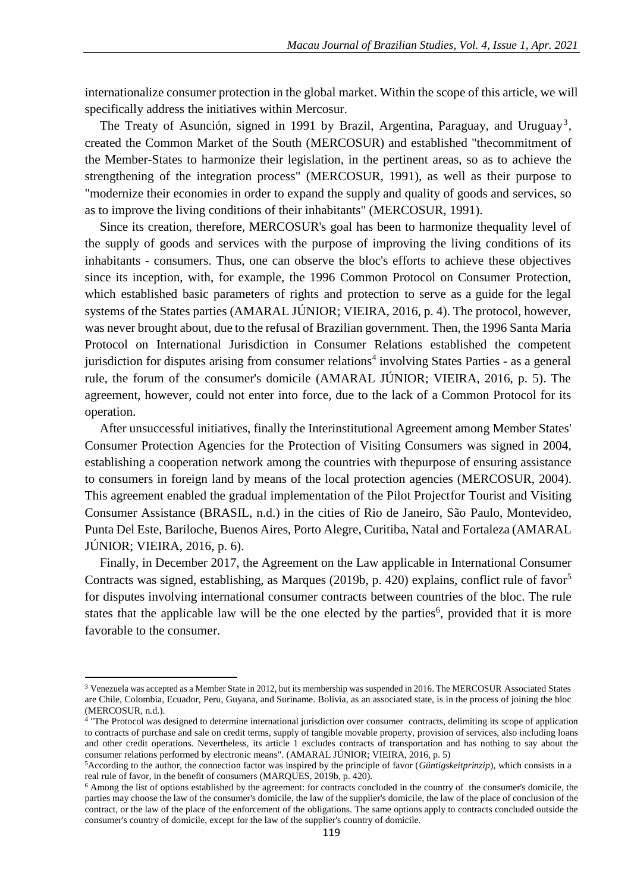internationalize consumer protection in the global market. Within the scope of this article, we will specifically address the initiatives within Mercosur.

The Treaty of Asunción, signed in 1991 by Brazil, Argentina, Paraguay, and Uruguay<sup>3</sup>, created the Common Market of the South (MERCOSUR) and established "thecommitment of the Member-States to harmonize their legislation, in the pertinent areas, so as to achieve the strengthening of the integration process" (MERCOSUR, 1991), as well as their purpose to "modernize their economies in order to expand the supply and quality of goods and services, so as to improve the living conditions of their inhabitants" (MERCOSUR, 1991).

Since its creation, therefore, MERCOSUR's goal has been to harmonize thequality level of the supply of goods and services with the purpose of improving the living conditions of its inhabitants - consumers. Thus, one can observe the bloc's efforts to achieve these objectives since its inception, with, for example, the 1996 Common Protocol on Consumer Protection, which established basic parameters of rights and protection to serve as a guide for the legal systems of the States parties (AMARAL JÚNIOR; VIEIRA, 2016, p. 4). The protocol, however, was never brought about, due to the refusal of Brazilian government. Then, the 1996 Santa Maria Protocol on International Jurisdiction in Consumer Relations established the competent jurisdiction for disputes arising from consumer relations<sup>4</sup> involving States Parties - as a general rule, the forum of the consumer's domicile (AMARAL JÚNIOR; VIEIRA, 2016, p. 5). The agreement, however, could not enter into force, due to the lack of a Common Protocol for its operation.

After unsuccessful initiatives, finally the Interinstitutional Agreement among Member States' Consumer Protection Agencies for the Protection of Visiting Consumers was signed in 2004, establishing a cooperation network among the countries with thepurpose of ensuring assistance to consumers in foreign land by means of the local protection agencies (MERCOSUR, 2004). This agreement enabled the gradual implementation of the Pilot Projectfor Tourist and Visiting Consumer Assistance (BRASIL, n.d.) in the cities of Rio de Janeiro, São Paulo, Montevideo, Punta Del Este, Bariloche, Buenos Aires, Porto Alegre, Curitiba, Natal and Fortaleza (AMARAL JÚNIOR; VIEIRA, 2016, p. 6).

Finally, in December 2017, the Agreement on the Law applicable in International Consumer Contracts was signed, establishing, as Marques (2019b, p. 420) explains, conflict rule of favor<sup>5</sup> for disputes involving international consumer contracts between countries of the bloc. The rule states that the applicable law will be the one elected by the parties<sup>6</sup>, provided that it is more favorable to the consumer.

1

<sup>3</sup> Venezuela was accepted as a Member State in 2012, but its membership was suspended in 2016. The MERCOSUR Associated States are Chile, Colombia, Ecuador, Peru, Guyana, and Suriname. Bolivia, as an associated state, is in the process of joining the bloc (MERCOSUR, n.d.). 4 "The Protocol was designed to determine international jurisdiction over consumer contracts, delimiting its scope of application

to contracts of purchase and sale on credit terms, supply of tangible movable property, provision of services, also including loans and other credit operations. Nevertheless, its article 1 excludes contracts of transportation and has nothing to say about the consumer relations performed by electronic means". (AMARAL JÚNIOR; VIEIRA, 2016, p. 5)

<sup>5</sup>According to the author, the connection factor was inspired by the principle of favor (*Güntigskeitprinzip*), which consists in a real rule of favor, in the benefit of consumers (MARQUES, 2019b, p. 420).

<sup>6</sup> Among the list of options established by the agreement: for contracts concluded in the country of the consumer's domicile, the parties may choose the law of the consumer's domicile, the law of the supplier's domicile, the law of the place of conclusion of the contract, or the law of the place of the enforcement of the obligations. The same options apply to contracts concluded outside the consumer's country of domicile, except for the law of the supplier's country of domicile.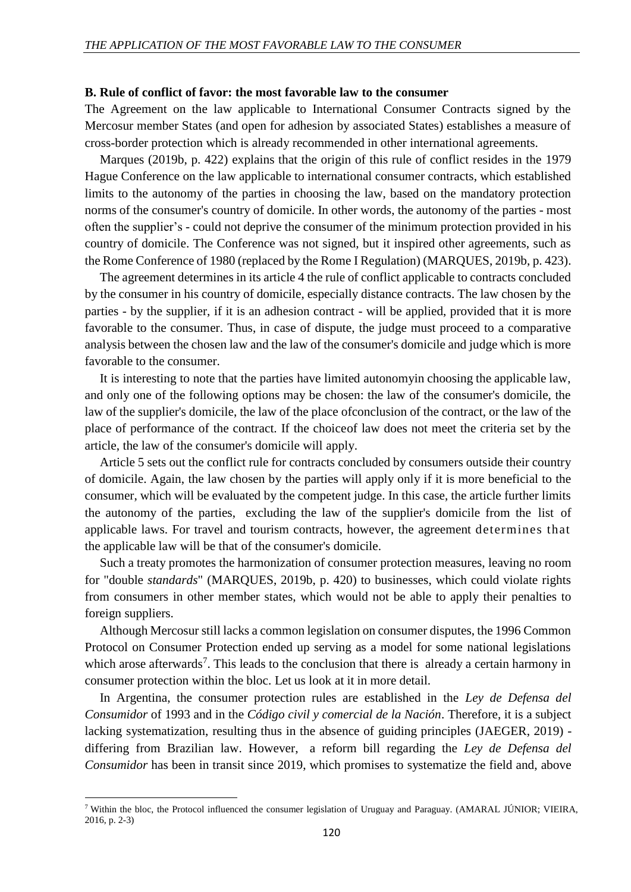#### **B. Rule of conflict of favor: the most favorable law to the consumer**

The Agreement on the law applicable to International Consumer Contracts signed by the Mercosur member States (and open for adhesion by associated States) establishes a measure of cross-border protection which is already recommended in other international agreements.

Marques (2019b, p. 422) explains that the origin of this rule of conflict resides in the 1979 Hague Conference on the law applicable to international consumer contracts, which established limits to the autonomy of the parties in choosing the law, based on the mandatory protection norms of the consumer's country of domicile. In other words, the autonomy of the parties - most often the supplier's - could not deprive the consumer of the minimum protection provided in his country of domicile. The Conference was not signed, but it inspired other agreements, such as the Rome Conference of 1980 (replaced by the Rome I Regulation) (MARQUES, 2019b, p. 423).

The agreement determines in its article 4 the rule of conflict applicable to contracts concluded by the consumer in his country of domicile, especially distance contracts. The law chosen by the parties - by the supplier, if it is an adhesion contract - will be applied, provided that it is more favorable to the consumer. Thus, in case of dispute, the judge must proceed to a comparative analysis between the chosen law and the law of the consumer's domicile and judge which is more favorable to the consumer.

It is interesting to note that the parties have limited autonomyin choosing the applicable law, and only one of the following options may be chosen: the law of the consumer's domicile, the law of the supplier's domicile, the law of the place ofconclusion of the contract, or the law of the place of performance of the contract. If the choiceof law does not meet the criteria set by the article, the law of the consumer's domicile will apply.

Article 5 sets out the conflict rule for contracts concluded by consumers outside their country of domicile. Again, the law chosen by the parties will apply only if it is more beneficial to the consumer, which will be evaluated by the competent judge. In this case, the article further limits the autonomy of the parties, excluding the law of the supplier's domicile from the list of applicable laws. For travel and tourism contracts, however, the agreement determines that the applicable law will be that of the consumer's domicile.

Such a treaty promotes the harmonization of consumer protection measures, leaving no room for "double *standards*" (MARQUES, 2019b, p. 420) to businesses, which could violate rights from consumers in other member states, which would not be able to apply their penalties to foreign suppliers.

Although Mercosur still lacks a common legislation on consumer disputes, the 1996 Common Protocol on Consumer Protection ended up serving as a model for some national legislations which arose afterwards<sup>7</sup>. This leads to the conclusion that there is already a certain harmony in consumer protection within the bloc. Let us look at it in more detail.

In Argentina, the consumer protection rules are established in the *Ley de Defensa del Consumidor* of 1993 and in the *Código civil y comercial de la Nación*. Therefore, it is a subject lacking systematization, resulting thus in the absence of guiding principles (JAEGER, 2019) differing from Brazilian law. However, a reform bill regarding the *Ley de Defensa del Consumidor* has been in transit since 2019, which promises to systematize the field and, above

 $\overline{a}$ 

<sup>7</sup> Within the bloc, the Protocol influenced the consumer legislation of Uruguay and Paraguay. (AMARAL JÚNIOR; VIEIRA, 2016, p. 2-3)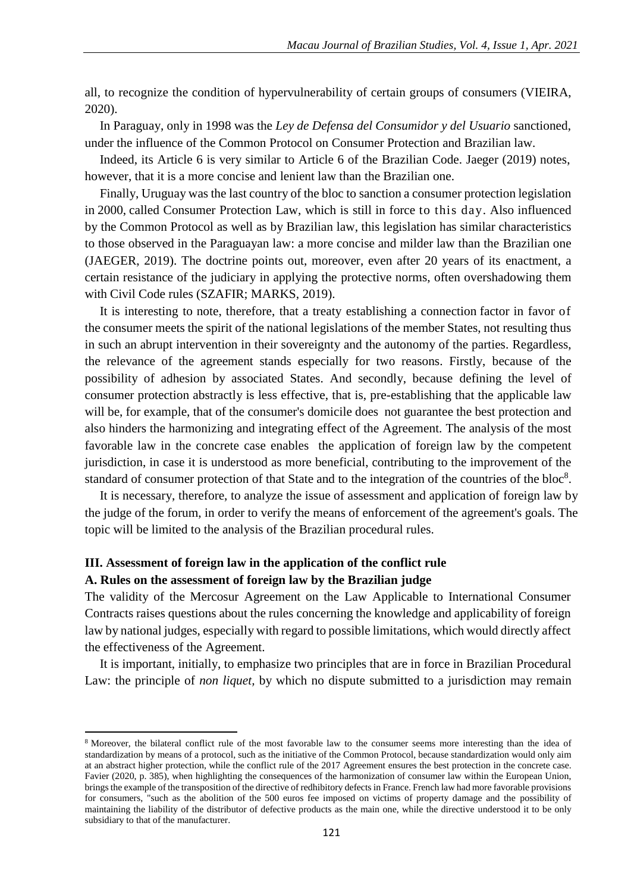all, to recognize the condition of hypervulnerability of certain groups of consumers (VIEIRA, 2020).

In Paraguay, only in 1998 was the *Ley de Defensa del Consumidor y del Usuario* sanctioned, under the influence of the Common Protocol on Consumer Protection and Brazilian law.

Indeed, its Article 6 is very similar to Article 6 of the Brazilian Code. Jaeger (2019) notes, however, that it is a more concise and lenient law than the Brazilian one.

Finally, Uruguay was the last country of the bloc to sanction a consumer protection legislation in 2000, called Consumer Protection Law, which is still in force to this day. Also influenced by the Common Protocol as well as by Brazilian law, this legislation has similar characteristics to those observed in the Paraguayan law: a more concise and milder law than the Brazilian one (JAEGER, 2019). The doctrine points out, moreover, even after 20 years of its enactment, a certain resistance of the judiciary in applying the protective norms, often overshadowing them with Civil Code rules (SZAFIR; MARKS, 2019).

It is interesting to note, therefore, that a treaty establishing a connection factor in favor of the consumer meets the spirit of the national legislations of the member States, not resulting thus in such an abrupt intervention in their sovereignty and the autonomy of the parties. Regardless, the relevance of the agreement stands especially for two reasons. Firstly, because of the possibility of adhesion by associated States. And secondly, because defining the level of consumer protection abstractly is less effective, that is, pre-establishing that the applicable law will be, for example, that of the consumer's domicile does not guarantee the best protection and also hinders the harmonizing and integrating effect of the Agreement. The analysis of the most favorable law in the concrete case enables the application of foreign law by the competent jurisdiction, in case it is understood as more beneficial, contributing to the improvement of the standard of consumer protection of that State and to the integration of the countries of the bloc $8$ .

It is necessary, therefore, to analyze the issue of assessment and application of foreign law by the judge of the forum, in order to verify the means of enforcement of the agreement's goals. The topic will be limited to the analysis of the Brazilian procedural rules.

# **III. Assessment of foreign law in the application of the conflict rule A. Rules on the assessment of foreign law by the Brazilian judge**

1

The validity of the Mercosur Agreement on the Law Applicable to International Consumer Contracts raises questions about the rules concerning the knowledge and applicability of foreign law by national judges, especially with regard to possible limitations, which would directly affect the effectiveness of the Agreement.

It is important, initially, to emphasize two principles that are in force in Brazilian Procedural Law: the principle of *non liquet,* by which no dispute submitted to a jurisdiction may remain

<sup>8</sup> Moreover, the bilateral conflict rule of the most favorable law to the consumer seems more interesting than the idea of standardization by means of a protocol, such as the initiative of the Common Protocol, because standardization would only aim at an abstract higher protection, while the conflict rule of the 2017 Agreement ensures the best protection in the concrete case. Favier (2020, p. 385), when highlighting the consequences of the harmonization of consumer law within the European Union, brings the example of the transposition of the directive of redhibitory defects in France. French law had more favorable provisions for consumers, "such as the abolition of the 500 euros fee imposed on victims of property damage and the possibility of maintaining the liability of the distributor of defective products as the main one, while the directive understood it to be only subsidiary to that of the manufacturer.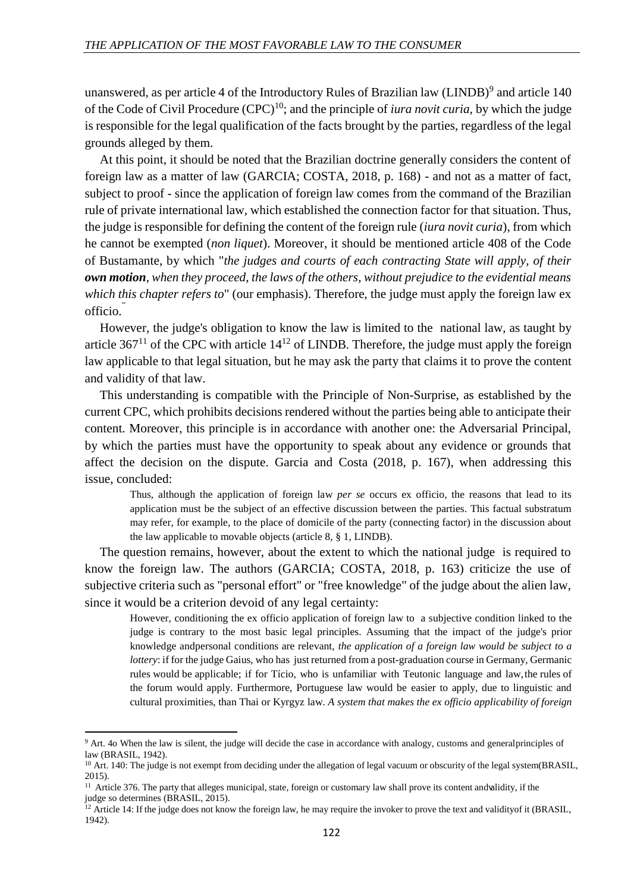unanswered, as per article 4 of the Introductory Rules of Brazilian law (LINDB) $^9$  and article 140 of the Code of Civil Procedure (CPC)<sup>10</sup>; and the principle of *iura novit curia,* by which the judge is responsible for the legal qualification of the facts brought by the parties, regardless of the legal grounds alleged by them.

At this point, it should be noted that the Brazilian doctrine generally considers the content of foreign law as a matter of law (GARCIA; COSTA, 2018, p. 168) - and not as a matter of fact, subject to proof - since the application of foreign law comes from the command of the Brazilian rule of private international law, which established the connection factor for that situation. Thus, the judge is responsible for defining the content of the foreign rule (*iura novit curia*), from which he cannot be exempted (*non liquet*). Moreover, it should be mentioned article 408 of the Code of Bustamante, by which "*the judges and courts of each contracting State will apply, of their own motion, when they proceed, the laws of the others, without prejudice to the evidential means which this chapter refers to*" (our emphasis). Therefore, the judge must apply the foreign law ex officio.

However, the judge's obligation to know the law is limited to the national law, as taught by article  $367<sup>11</sup>$  of the CPC with article  $14<sup>12</sup>$  of LINDB. Therefore, the judge must apply the foreign law applicable to that legal situation, but he may ask the party that claims it to prove the content and validity of that law.

This understanding is compatible with the Principle of Non-Surprise, as established by the current CPC, which prohibits decisions rendered without the parties being able to anticipate their content. Moreover, this principle is in accordance with another one: the Adversarial Principal, by which the parties must have the opportunity to speak about any evidence or grounds that affect the decision on the dispute. Garcia and Costa (2018, p. 167), when addressing this issue, concluded:

Thus, although the application of foreign law *per se* occurs ex officio, the reasons that lead to its application must be the subject of an effective discussion between the parties. This factual substratum may refer, for example, to the place of domicile of the party (connecting factor) in the discussion about the law applicable to movable objects (article 8, § 1, LINDB).

The question remains, however, about the extent to which the national judge is required to know the foreign law. The authors (GARCIA; COSTA, 2018, p. 163) criticize the use of subjective criteria such as "personal effort" or "free knowledge" of the judge about the alien law, since it would be a criterion devoid of any legal certainty:

However, conditioning the ex officio application of foreign law to a subjective condition linked to the judge is contrary to the most basic legal principles. Assuming that the impact of the judge's prior knowledge andpersonal conditions are relevant, *the application of a foreign law would be subject to a lottery*: if for the judge Gaius, who has just returned from a post-graduation course in Germany, Germanic rules would be applicable; if for Tício, who is unfamiliar with Teutonic language and law, the rules of the forum would apply. Furthermore, Portuguese law would be easier to apply, due to linguistic and cultural proximities, than Thai or Kyrgyz law. *A system that makes the ex officio applicability of foreign*

1

<sup>&</sup>lt;sup>9</sup> Art. 4o When the law is silent, the judge will decide the case in accordance with analogy, customs and generalprinciples of law (BRASIL, 1942).

<sup>&</sup>lt;sup>10</sup> Art. 140: The judge is not exempt from deciding under the allegation of legal vacuum or obscurity of the legal system(BRASIL, 2015).

<sup>&</sup>lt;sup>11</sup> Article 376. The party that alleges municipal, state, foreign or customary law shall prove its content andvalidity, if the judge so determines (BRASIL, 2015).

 $12$  Article 14: If the judge does not know the foreign law, he may require the invoker to prove the text and validity of it (BRASIL, 1942).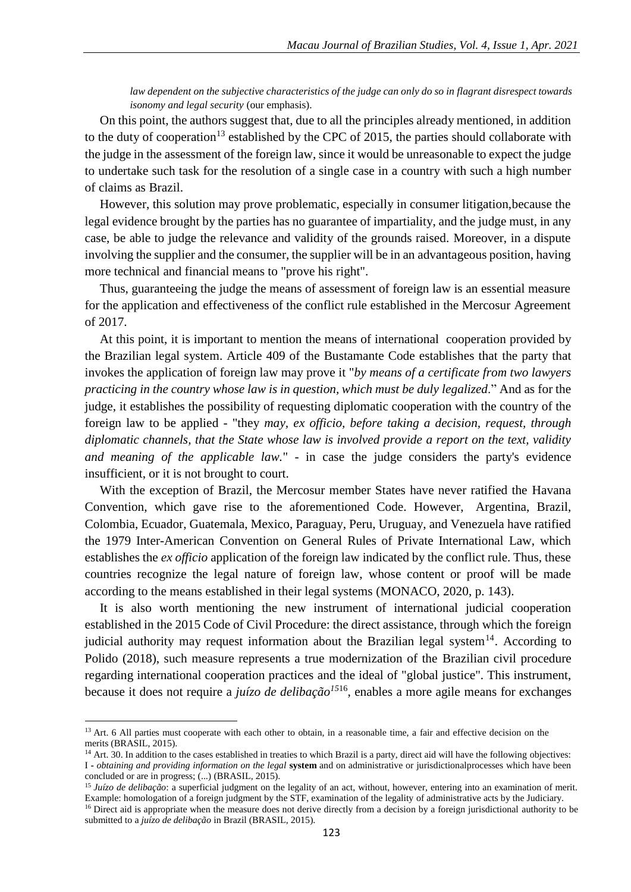*law dependent on the subjective characteristics of the judge can only do so in flagrant disrespect towards isonomy and legal security* (our emphasis).

On this point, the authors suggest that, due to all the principles already mentioned, in addition to the duty of cooperation<sup>13</sup> established by the CPC of 2015, the parties should collaborate with the judge in the assessment of the foreign law, since it would be unreasonable to expect the judge to undertake such task for the resolution of a single case in a country with such a high number of claims as Brazil.

However, this solution may prove problematic, especially in consumer litigation,because the legal evidence brought by the parties has no guarantee of impartiality, and the judge must, in any case, be able to judge the relevance and validity of the grounds raised. Moreover, in a dispute involving the supplier and the consumer, the supplier will be in an advantageous position, having more technical and financial means to "prove his right".

Thus, guaranteeing the judge the means of assessment of foreign law is an essential measure for the application and effectiveness of the conflict rule established in the Mercosur Agreement of 2017.

At this point, it is important to mention the means of international cooperation provided by the Brazilian legal system. Article 409 of the Bustamante Code establishes that the party that invokes the application of foreign law may prove it "*by means of a certificate from two lawyers practicing in the country whose law is in question, which must be duly legalized*." And as for the judge, it establishes the possibility of requesting diplomatic cooperation with the country of the foreign law to be applied - "they *may, ex officio, before taking a decision, request, through diplomatic channels, that the State whose law is involved provide a report on the text, validity and meaning of the applicable law.*" - in case the judge considers the party's evidence insufficient, or it is not brought to court.

With the exception of Brazil, the Mercosur member States have never ratified the Havana Convention, which gave rise to the aforementioned Code. However, Argentina, Brazil, Colombia, Ecuador, Guatemala, Mexico, Paraguay, Peru, Uruguay, and Venezuela have ratified the 1979 Inter-American Convention on General Rules of Private International Law, which establishes the *ex officio* application of the foreign law indicated by the conflict rule. Thus, these countries recognize the legal nature of foreign law, whose content or proof will be made according to the means established in their legal systems (MONACO, 2020, p. 143).

It is also worth mentioning the new instrument of international judicial cooperation established in the 2015 Code of Civil Procedure: the direct assistance, through which the foreign judicial authority may request information about the Brazilian legal system<sup>14</sup>. According to Polido (2018), such measure represents a true modernization of the Brazilian civil procedure regarding international cooperation practices and the ideal of "global justice". This instrument, because it does not require a *juízo de delibação<sup>15</sup>*<sup>16</sup>, enables a more agile means for exchanges

 $\overline{a}$ 

<sup>&</sup>lt;sup>13</sup> Art. 6 All parties must cooperate with each other to obtain, in a reasonable time, a fair and effective decision on the merits (BRASIL, 2015).

<sup>&</sup>lt;sup>14</sup> Art. 30. In addition to the cases established in treaties to which Brazil is a party, direct aid will have the following objectives: I **-** *obtaining and providing information on the legal* **system** and on administrative or jurisdictionalprocesses which have been concluded or are in progress; (...) (BRASIL, 2015).

<sup>15</sup> *Juízo de delibação*: a superficial judgment on the legality of an act, without, however, entering into an examination of merit. Example: homologation of a foreign judgment by the STF, examination of the legality of administrative acts by the Judiciary.

<sup>&</sup>lt;sup>16</sup> Direct aid is appropriate when the measure does not derive directly from a decision by a foreign jurisdictional authority to be submitted to a *juízo de delibação* in Brazil (BRASIL, 2015).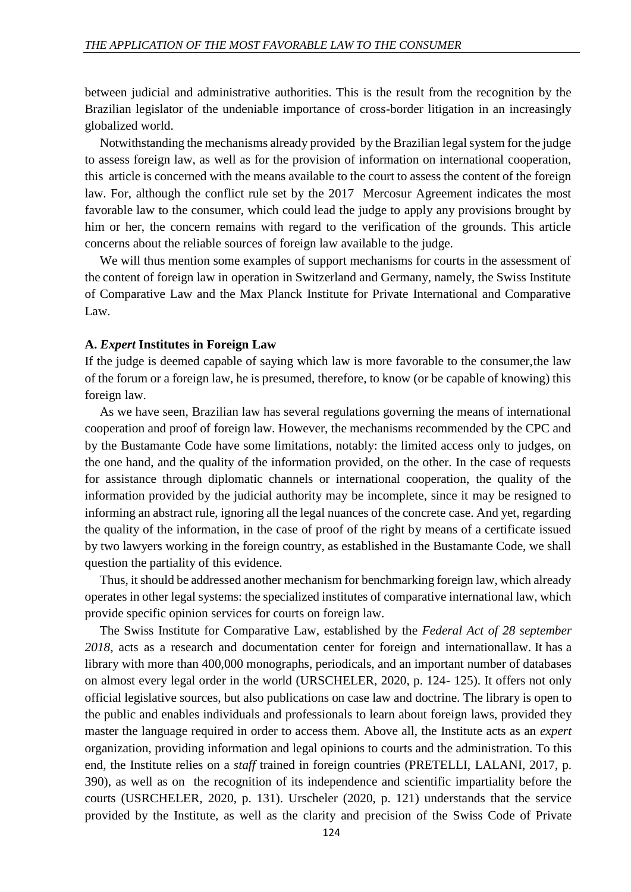between judicial and administrative authorities. This is the result from the recognition by the Brazilian legislator of the undeniable importance of cross-border litigation in an increasingly globalized world.

Notwithstanding the mechanisms already provided by the Brazilian legal system for the judge to assess foreign law, as well as for the provision of information on international cooperation, this article is concerned with the means available to the court to assess the content of the foreign law. For, although the conflict rule set by the 2017 Mercosur Agreement indicates the most favorable law to the consumer, which could lead the judge to apply any provisions brought by him or her, the concern remains with regard to the verification of the grounds. This article concerns about the reliable sources of foreign law available to the judge.

We will thus mention some examples of support mechanisms for courts in the assessment of the content of foreign law in operation in Switzerland and Germany, namely, the Swiss Institute of Comparative Law and the Max Planck Institute for Private International and Comparative Law.

#### **A.** *Expert* **Institutes in Foreign Law**

If the judge is deemed capable of saying which law is more favorable to the consumer,the law of the forum or a foreign law, he is presumed, therefore, to know (or be capable of knowing) this foreign law.

As we have seen, Brazilian law has several regulations governing the means of international cooperation and proof of foreign law. However, the mechanisms recommended by the CPC and by the Bustamante Code have some limitations, notably: the limited access only to judges, on the one hand, and the quality of the information provided, on the other. In the case of requests for assistance through diplomatic channels or international cooperation, the quality of the information provided by the judicial authority may be incomplete, since it may be resigned to informing an abstract rule, ignoring all the legal nuances of the concrete case. And yet, regarding the quality of the information, in the case of proof of the right by means of a certificate issued by two lawyers working in the foreign country, as established in the Bustamante Code, we shall question the partiality of this evidence.

Thus, it should be addressed another mechanism for benchmarking foreign law, which already operates in other legal systems: the specialized institutes of comparative international law, which provide specific opinion services for courts on foreign law.

The Swiss Institute for Comparative Law, established by the *Federal Act of 28 september 2018*, acts as a research and documentation center for foreign and internationallaw. It has a library with more than 400,000 monographs, periodicals, and an important number of databases on almost every legal order in the world (URSCHELER, 2020, p. 124- 125). It offers not only official legislative sources, but also publications on case law and doctrine. The library is open to the public and enables individuals and professionals to learn about foreign laws, provided they master the language required in order to access them. Above all, the Institute acts as an *expert* organization, providing information and legal opinions to courts and the administration. To this end, the Institute relies on a *staff* trained in foreign countries (PRETELLI, LALANI, 2017, p. 390), as well as on the recognition of its independence and scientific impartiality before the courts (USRCHELER, 2020, p. 131). Urscheler (2020, p. 121) understands that the service provided by the Institute, as well as the clarity and precision of the Swiss Code of Private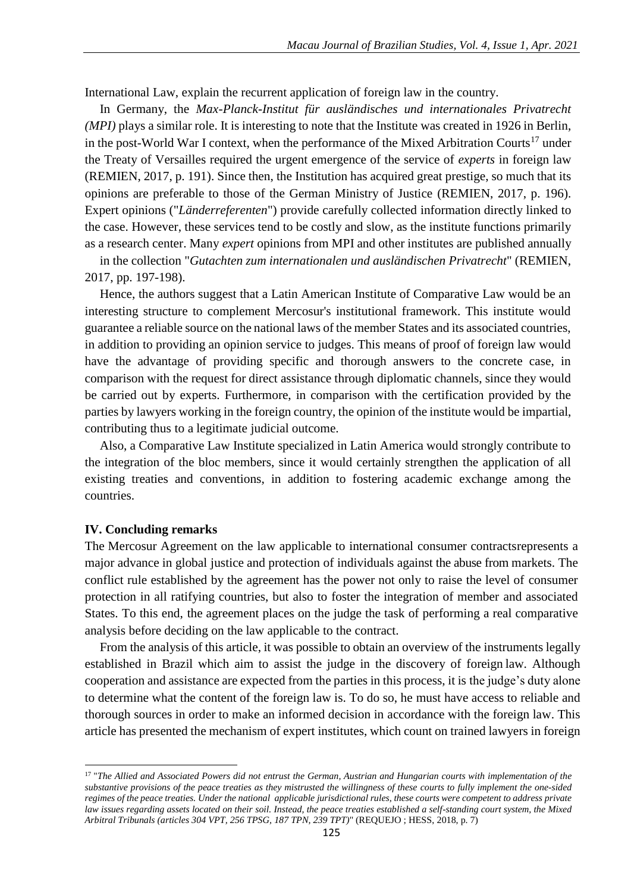International Law, explain the recurrent application of foreign law in the country.

In Germany, the *Max-Planck-Institut für ausländisches und internationales Privatrecht (MPI)* plays a similar role. It is interesting to note that the Institute was created in 1926 in Berlin, in the post-World War I context, when the performance of the Mixed Arbitration Courts<sup>17</sup> under the Treaty of Versailles required the urgent emergence of the service of *experts* in foreign law (REMIEN, 2017, p. 191). Since then, the Institution has acquired great prestige, so much that its opinions are preferable to those of the German Ministry of Justice (REMIEN, 2017, p. 196). Expert opinions ("*Länderreferenten*") provide carefully collected information directly linked to the case. However, these services tend to be costly and slow, as the institute functions primarily as a research center. Many *expert* opinions from MPI and other institutes are published annually

in the collection "*Gutachten zum internationalen und ausländischen Privatrecht*" (REMIEN, 2017, pp. 197-198).

Hence, the authors suggest that a Latin American Institute of Comparative Law would be an interesting structure to complement Mercosur's institutional framework. This institute would guarantee a reliable source on the national laws of the member States and its associated countries, in addition to providing an opinion service to judges. This means of proof of foreign law would have the advantage of providing specific and thorough answers to the concrete case, in comparison with the request for direct assistance through diplomatic channels, since they would be carried out by experts. Furthermore, in comparison with the certification provided by the parties by lawyers working in the foreign country, the opinion of the institute would be impartial, contributing thus to a legitimate judicial outcome.

Also, a Comparative Law Institute specialized in Latin America would strongly contribute to the integration of the bloc members, since it would certainly strengthen the application of all existing treaties and conventions, in addition to fostering academic exchange among the countries.

#### **IV. Concluding remarks**

 $\ddot{\phantom{a}}$ 

The Mercosur Agreement on the law applicable to international consumer contractsrepresents a major advance in global justice and protection of individuals against the abuse from markets. The conflict rule established by the agreement has the power not only to raise the level of consumer protection in all ratifying countries, but also to foster the integration of member and associated States. To this end, the agreement places on the judge the task of performing a real comparative analysis before deciding on the law applicable to the contract.

From the analysis of this article, it was possible to obtain an overview of the instruments legally established in Brazil which aim to assist the judge in the discovery of foreign law. Although cooperation and assistance are expected from the parties in this process, it is the judge's duty alone to determine what the content of the foreign law is. To do so, he must have access to reliable and thorough sources in order to make an informed decision in accordance with the foreign law. This article has presented the mechanism of expert institutes, which count on trained lawyers in foreign

<sup>&</sup>lt;sup>17</sup> "The Allied and Associated Powers did not entrust the German, Austrian and Hungarian courts with implementation of the *substantive provisions of the peace treaties as they mistrusted the willingness of these courts to fully implement the one-sided regimes of the peace treaties. Under the national applicable jurisdictional rules, these courts were competent to address private law issues regarding assets located on their soil. Instead, the peace treaties established a self-standing court system, the Mixed Arbitral Tribunals (articles 304 VPT, 256 TPSG, 187 TPN, 239 TPT)*" (REQUEJO ; HESS, 2018, p. 7)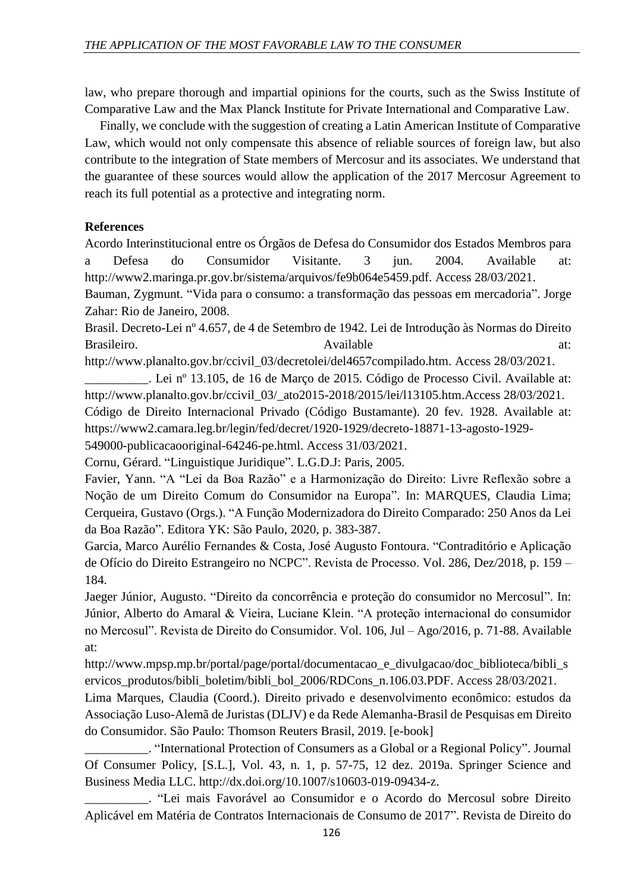law, who prepare thorough and impartial opinions for the courts, such as the Swiss Institute of Comparative Law and the Max Planck Institute for Private International and Comparative Law.

Finally, we conclude with the suggestion of creating a Latin American Institute of Comparative Law, which would not only compensate this absence of reliable sources of foreign law, but also contribute to the integration of State members of Mercosur and its associates. We understand that the guarantee of these sources would allow the application of the 2017 Mercosur Agreement to reach its full potential as a protective and integrating norm.

# **References**

Acordo Interinstitucional entre os Órgãos de Defesa do Consumidor dos Estados Membros para a Defesa do Consumidor Visitante. 3 jun. 2004. Available at: http://www2.maringa.pr.gov.br/sistema/arquivos/fe9b064e5459.pdf. Access 28/03/2021.

Bauman, Zygmunt. "Vida para o consumo: a transformação das pessoas em mercadoria". Jorge Zahar: Rio de Janeiro, 2008.

Brasil. Decreto-Lei nº 4.657, de 4 de Setembro de 1942. Lei de Introdução às Normas do Direito Brasileiro. at: Available at: Available at: Available at: at:

http://www.planalto.gov.br/ccivil\_03/decretolei/del4657compilado.htm. Access 28/03/2021.

\_\_\_\_\_\_\_\_\_\_. Lei nº 13.105, de 16 de Março de 2015. Código de Processo Civil. Available at: http://www.planalto.gov.br/ccivil\_03/\_ato2015-2018/2015/lei/l13105.htm.Access 28/03/2021. Código de Direito Internacional Privado (Código Bustamante). 20 fev. 1928. Available at: https://www2.camara.leg.br/legin/fed/decret/1920-1929/decreto-18871-13-agosto-1929-

549000-publicacaooriginal-64246-pe.html. Access 31/03/2021.

Cornu, Gérard. "Linguistique Juridique". L.G.D.J: Paris, 2005.

Favier, Yann. "A "Lei da Boa Razão" e a Harmonização do Direito: Livre Reflexão sobre a Noção de um Direito Comum do Consumidor na Europa". In: MARQUES, Claudia Lima; Cerqueira, Gustavo (Orgs.). "A Função Modernizadora do Direito Comparado: 250 Anos da Lei da Boa Razão". Editora YK: São Paulo, 2020, p. 383-387.

Garcia, Marco Aurélio Fernandes & Costa, José Augusto Fontoura. "Contraditório e Aplicação de Ofício do Direito Estrangeiro no NCPC". Revista de Processo. Vol. 286, Dez/2018, p. 159 – 184.

Jaeger Júnior, Augusto. "Direito da concorrência e proteção do consumidor no Mercosul". In: Júnior, Alberto do Amaral & Vieira, Luciane Klein. "A proteção internacional do consumidor no Mercosul". Revista de Direito do Consumidor. Vol. 106, Jul – Ago/2016, p. 71-88. Available at:

http://www.mpsp.mp.br/portal/page/portal/documentacao\_e\_divulgacao/doc\_biblioteca/bibli\_s ervicos\_produtos/bibli\_boletim/bibli\_bol\_2006/RDCons\_n.106.03.PDF. Access 28/03/2021.

Lima Marques, Claudia (Coord.). Direito privado e desenvolvimento econômico: estudos da Associação Luso-Alemã de Juristas (DLJV) e da Rede Alemanha-Brasil de Pesquisas em Direito do Consumidor. São Paulo: Thomson Reuters Brasil, 2019. [e-book]

\_\_\_\_\_\_\_\_\_\_. "International Protection of Consumers as a Global or a Regional Policy". Journal Of Consumer Policy, [S.L.], Vol. 43, n. 1, p. 57-75, 12 dez. 2019a. Springer Science and Business Media LLC. http://dx.doi.org/10.1007/s10603-019-09434-z.

\_\_\_\_\_\_\_\_\_\_. "Lei mais Favorável ao Consumidor e o Acordo do Mercosul sobre Direito Aplicável em Matéria de Contratos Internacionais de Consumo de 2017". Revista de Direito do